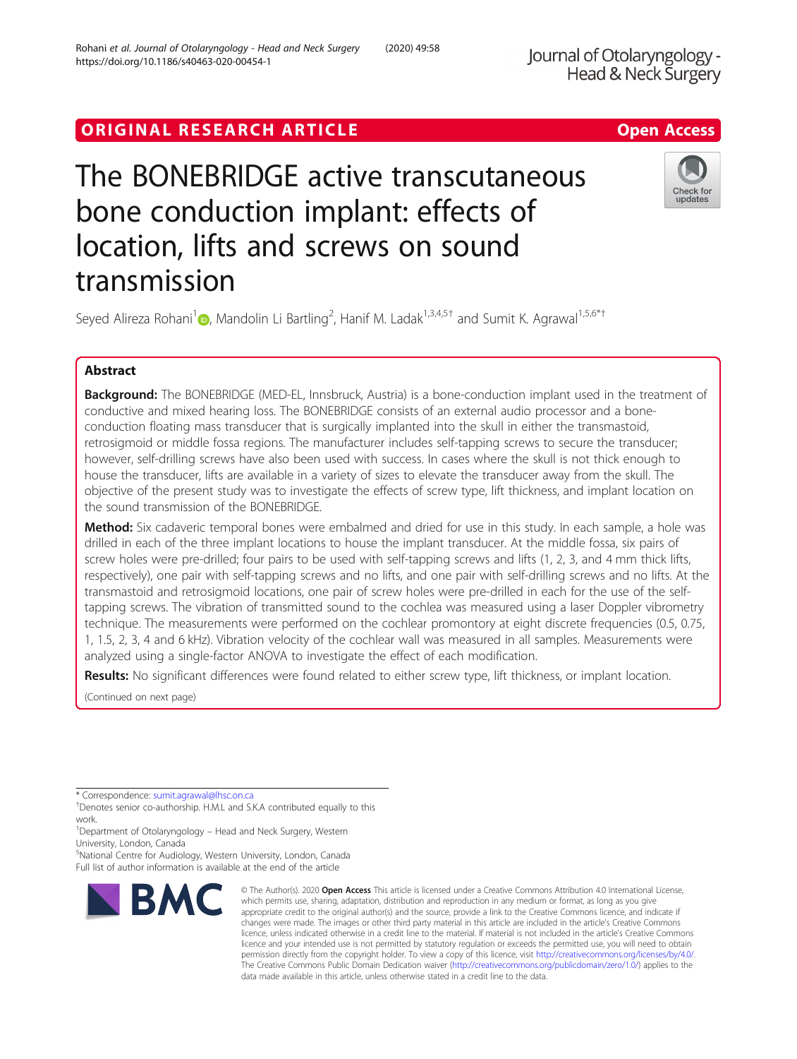# ORIGINAL RESEARCH ARTICLE **Solution Contract Contract Contract Contract Contract Contract Contract Contract Contract Contract Contract Contract Contract Contract Contract Contract Contract Contract Contract Contract Contra**

# The BONEBRIDGE active transcutaneous bone conduction implant: effects of location, lifts and screws on sound transmission



Seyed Alireza Rohani<sup>1</sup> (**b**[,](http://orcid.org/0000-0002-5467-4276) Mandolin Li Bartling<sup>2</sup>, Hanif M. Ladak<sup>1,3,4,5†</sup> and Sumit K. Agrawal<sup>1,5,6\*†</sup>

# Abstract

**Background:** The BONEBRIDGE (MED-EL, Innsbruck, Austria) is a bone-conduction implant used in the treatment of conductive and mixed hearing loss. The BONEBRIDGE consists of an external audio processor and a boneconduction floating mass transducer that is surgically implanted into the skull in either the transmastoid, retrosigmoid or middle fossa regions. The manufacturer includes self-tapping screws to secure the transducer; however, self-drilling screws have also been used with success. In cases where the skull is not thick enough to house the transducer, lifts are available in a variety of sizes to elevate the transducer away from the skull. The objective of the present study was to investigate the effects of screw type, lift thickness, and implant location on the sound transmission of the BONEBRIDGE.

Method: Six cadaveric temporal bones were embalmed and dried for use in this study. In each sample, a hole was drilled in each of the three implant locations to house the implant transducer. At the middle fossa, six pairs of screw holes were pre-drilled; four pairs to be used with self-tapping screws and lifts (1, 2, 3, and 4 mm thick lifts, respectively), one pair with self-tapping screws and no lifts, and one pair with self-drilling screws and no lifts. At the transmastoid and retrosigmoid locations, one pair of screw holes were pre-drilled in each for the use of the selftapping screws. The vibration of transmitted sound to the cochlea was measured using a laser Doppler vibrometry technique. The measurements were performed on the cochlear promontory at eight discrete frequencies (0.5, 0.75, 1, 1.5, 2, 3, 4 and 6 kHz). Vibration velocity of the cochlear wall was measured in all samples. Measurements were analyzed using a single-factor ANOVA to investigate the effect of each modification.

Results: No significant differences were found related to either screw type, lift thickness, or implant location.

(Continued on next page)

\* Correspondence: [sumit.agrawal@lhsc.on.ca](mailto:sumit.agrawal@lhsc.on.ca) †

5 National Centre for Audiology, Western University, London, Canada Full list of author information is available at the end of the article



<sup>©</sup> The Author(s), 2020 **Open Access** This article is licensed under a Creative Commons Attribution 4.0 International License, which permits use, sharing, adaptation, distribution and reproduction in any medium or format, as long as you give appropriate credit to the original author(s) and the source, provide a link to the Creative Commons licence, and indicate if changes were made. The images or other third party material in this article are included in the article's Creative Commons licence, unless indicated otherwise in a credit line to the material. If material is not included in the article's Creative Commons licence and your intended use is not permitted by statutory regulation or exceeds the permitted use, you will need to obtain permission directly from the copyright holder. To view a copy of this licence, visit [http://creativecommons.org/licenses/by/4.0/.](http://creativecommons.org/licenses/by/4.0/) The Creative Commons Public Domain Dedication waiver [\(http://creativecommons.org/publicdomain/zero/1.0/](http://creativecommons.org/publicdomain/zero/1.0/)) applies to the data made available in this article, unless otherwise stated in a credit line to the data.

Denotes senior co-authorship. H.M.L and S.K.A contributed equally to this work.

<sup>&</sup>lt;sup>1</sup>Department of Otolaryngology - Head and Neck Surgery, Western University, London, Canada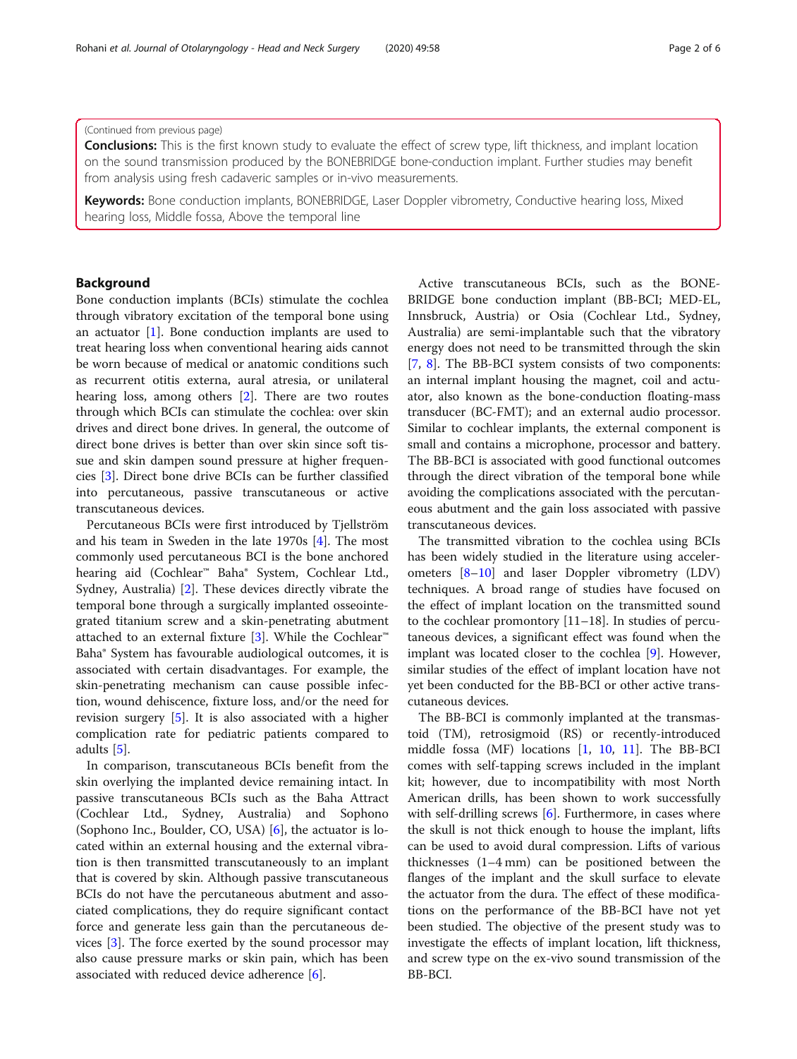# (Continued from previous page)

**Conclusions:** This is the first known study to evaluate the effect of screw type, lift thickness, and implant location on the sound transmission produced by the BONEBRIDGE bone-conduction implant. Further studies may benefit from analysis using fresh cadaveric samples or in-vivo measurements.

Keywords: Bone conduction implants, BONEBRIDGE, Laser Doppler vibrometry, Conductive hearing loss, Mixed hearing loss, Middle fossa, Above the temporal line

# Background

Bone conduction implants (BCIs) stimulate the cochlea through vibratory excitation of the temporal bone using an actuator [\[1](#page-5-0)]. Bone conduction implants are used to treat hearing loss when conventional hearing aids cannot be worn because of medical or anatomic conditions such as recurrent otitis externa, aural atresia, or unilateral hearing loss, among others [[2\]](#page-5-0). There are two routes through which BCIs can stimulate the cochlea: over skin drives and direct bone drives. In general, the outcome of direct bone drives is better than over skin since soft tissue and skin dampen sound pressure at higher frequencies [\[3](#page-5-0)]. Direct bone drive BCIs can be further classified into percutaneous, passive transcutaneous or active transcutaneous devices.

Percutaneous BCIs were first introduced by Tjellström and his team in Sweden in the late 1970s [[4\]](#page-5-0). The most commonly used percutaneous BCI is the bone anchored hearing aid (Cochlear™ Baha® System, Cochlear Ltd., Sydney, Australia) [[2\]](#page-5-0). These devices directly vibrate the temporal bone through a surgically implanted osseointegrated titanium screw and a skin-penetrating abutment attached to an external fixture [\[3](#page-5-0)]. While the Cochlear™ Baha® System has favourable audiological outcomes, it is associated with certain disadvantages. For example, the skin-penetrating mechanism can cause possible infection, wound dehiscence, fixture loss, and/or the need for revision surgery [[5\]](#page-5-0). It is also associated with a higher complication rate for pediatric patients compared to adults [\[5](#page-5-0)].

In comparison, transcutaneous BCIs benefit from the skin overlying the implanted device remaining intact. In passive transcutaneous BCIs such as the Baha Attract (Cochlear Ltd., Sydney, Australia) and Sophono (Sophono Inc., Boulder, CO, USA) [\[6](#page-5-0)], the actuator is located within an external housing and the external vibration is then transmitted transcutaneously to an implant that is covered by skin. Although passive transcutaneous BCIs do not have the percutaneous abutment and associated complications, they do require significant contact force and generate less gain than the percutaneous devices [[3\]](#page-5-0). The force exerted by the sound processor may also cause pressure marks or skin pain, which has been associated with reduced device adherence [\[6](#page-5-0)].

Active transcutaneous BCIs, such as the BONE-BRIDGE bone conduction implant (BB-BCI; MED-EL, Innsbruck, Austria) or Osia (Cochlear Ltd., Sydney, Australia) are semi-implantable such that the vibratory energy does not need to be transmitted through the skin [[7,](#page-5-0) [8\]](#page-5-0). The BB-BCI system consists of two components: an internal implant housing the magnet, coil and actuator, also known as the bone-conduction floating-mass transducer (BC-FMT); and an external audio processor. Similar to cochlear implants, the external component is small and contains a microphone, processor and battery. The BB-BCI is associated with good functional outcomes through the direct vibration of the temporal bone while avoiding the complications associated with the percutaneous abutment and the gain loss associated with passive transcutaneous devices.

The transmitted vibration to the cochlea using BCIs has been widely studied in the literature using accelerometers [[8](#page-5-0)–[10](#page-5-0)] and laser Doppler vibrometry (LDV) techniques. A broad range of studies have focused on the effect of implant location on the transmitted sound to the cochlear promontory [11–18]. In studies of percutaneous devices, a significant effect was found when the implant was located closer to the cochlea [[9\]](#page-5-0). However, similar studies of the effect of implant location have not yet been conducted for the BB-BCI or other active transcutaneous devices.

The BB-BCI is commonly implanted at the transmastoid (TM), retrosigmoid (RS) or recently-introduced middle fossa (MF) locations [\[1,](#page-5-0) [10,](#page-5-0) [11\]](#page-5-0). The BB-BCI comes with self-tapping screws included in the implant kit; however, due to incompatibility with most North American drills, has been shown to work successfully with self-drilling screws [\[6](#page-5-0)]. Furthermore, in cases where the skull is not thick enough to house the implant, lifts can be used to avoid dural compression. Lifts of various thicknesses (1–4 mm) can be positioned between the flanges of the implant and the skull surface to elevate the actuator from the dura. The effect of these modifications on the performance of the BB-BCI have not yet been studied. The objective of the present study was to investigate the effects of implant location, lift thickness, and screw type on the ex-vivo sound transmission of the BB-BCI.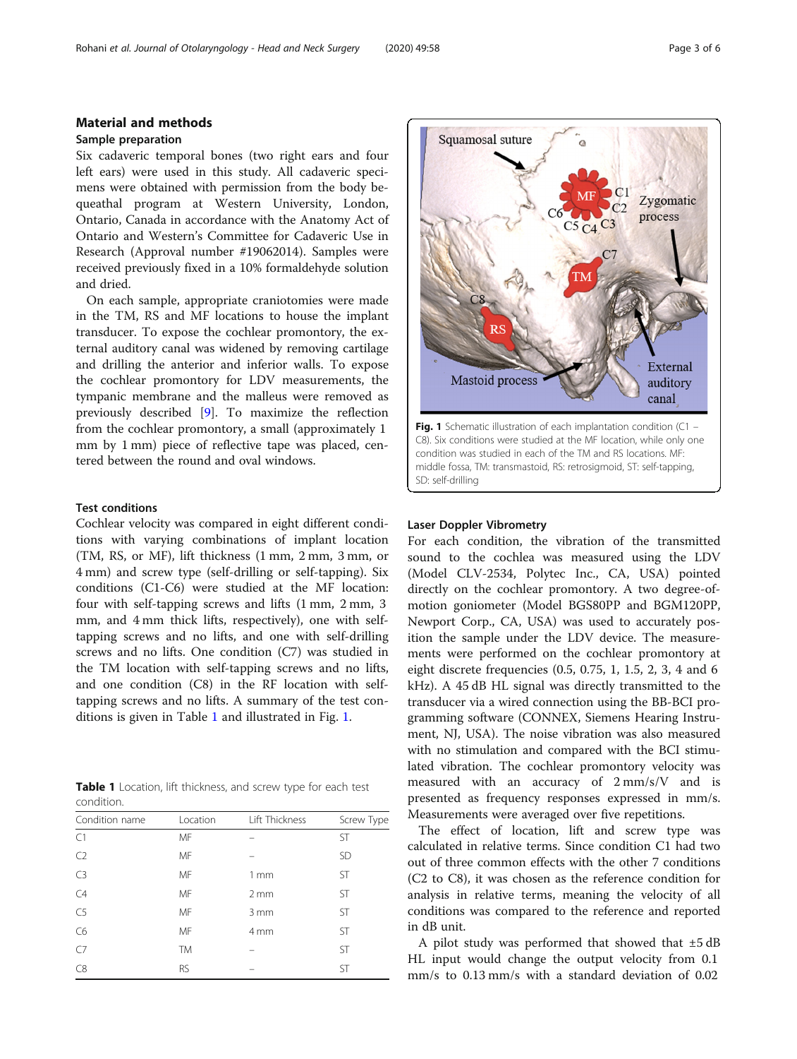# Sample preparation

Six cadaveric temporal bones (two right ears and four left ears) were used in this study. All cadaveric specimens were obtained with permission from the body bequeathal program at Western University, London, Ontario, Canada in accordance with the Anatomy Act of Ontario and Western's Committee for Cadaveric Use in Research (Approval number #19062014). Samples were received previously fixed in a 10% formaldehyde solution and dried.

On each sample, appropriate craniotomies were made in the TM, RS and MF locations to house the implant transducer. To expose the cochlear promontory, the external auditory canal was widened by removing cartilage and drilling the anterior and inferior walls. To expose the cochlear promontory for LDV measurements, the tympanic membrane and the malleus were removed as previously described [[9\]](#page-5-0). To maximize the reflection from the cochlear promontory, a small (approximately 1 mm by 1 mm) piece of reflective tape was placed, centered between the round and oval windows.

# Test conditions

Cochlear velocity was compared in eight different conditions with varying combinations of implant location (TM, RS, or MF), lift thickness (1 mm, 2 mm, 3 mm, or 4 mm) and screw type (self-drilling or self-tapping). Six conditions (C1-C6) were studied at the MF location: four with self-tapping screws and lifts (1 mm, 2 mm, 3 mm, and 4 mm thick lifts, respectively), one with selftapping screws and no lifts, and one with self-drilling screws and no lifts. One condition (C7) was studied in the TM location with self-tapping screws and no lifts, and one condition (C8) in the RF location with selftapping screws and no lifts. A summary of the test conditions is given in Table 1 and illustrated in Fig. 1.

| <b>Table 1</b> Location, lift thickness, and screw type for each test |  |  |
|-----------------------------------------------------------------------|--|--|
| condition.                                                            |  |  |

| Condition name | Location  | Lift Thickness  | Screw Type |
|----------------|-----------|-----------------|------------|
| C1             | MF        |                 | <b>ST</b>  |
| C <sub>2</sub> | MF        |                 | <b>SD</b>  |
| C <sub>3</sub> | MF        | $1 \text{ mm}$  | <b>ST</b>  |
| C4             | MF        | 2mm             | <b>ST</b>  |
| C5             | MF        | 3mm             | <b>ST</b>  |
| C <sub>6</sub> | MF        | 4 <sub>mm</sub> | <b>ST</b>  |
| $C$ 7          | <b>TM</b> |                 | <b>ST</b>  |
| C8             | <b>RS</b> |                 | <b>ST</b>  |



# Laser Doppler Vibrometry

For each condition, the vibration of the transmitted sound to the cochlea was measured using the LDV (Model CLV-2534, Polytec Inc., CA, USA) pointed directly on the cochlear promontory. A two degree-ofmotion goniometer (Model BGS80PP and BGM120PP, Newport Corp., CA, USA) was used to accurately position the sample under the LDV device. The measurements were performed on the cochlear promontory at eight discrete frequencies (0.5, 0.75, 1, 1.5, 2, 3, 4 and 6 kHz). A 45 dB HL signal was directly transmitted to the transducer via a wired connection using the BB-BCI programming software (CONNEX, Siemens Hearing Instrument, NJ, USA). The noise vibration was also measured with no stimulation and compared with the BCI stimulated vibration. The cochlear promontory velocity was measured with an accuracy of 2 mm/s/V and is presented as frequency responses expressed in mm/s. Measurements were averaged over five repetitions.

The effect of location, lift and screw type was calculated in relative terms. Since condition C1 had two out of three common effects with the other 7 conditions (C2 to C8), it was chosen as the reference condition for analysis in relative terms, meaning the velocity of all conditions was compared to the reference and reported in dB unit.

A pilot study was performed that showed that ±5 dB HL input would change the output velocity from 0.1 mm/s to 0.13 mm/s with a standard deviation of 0.02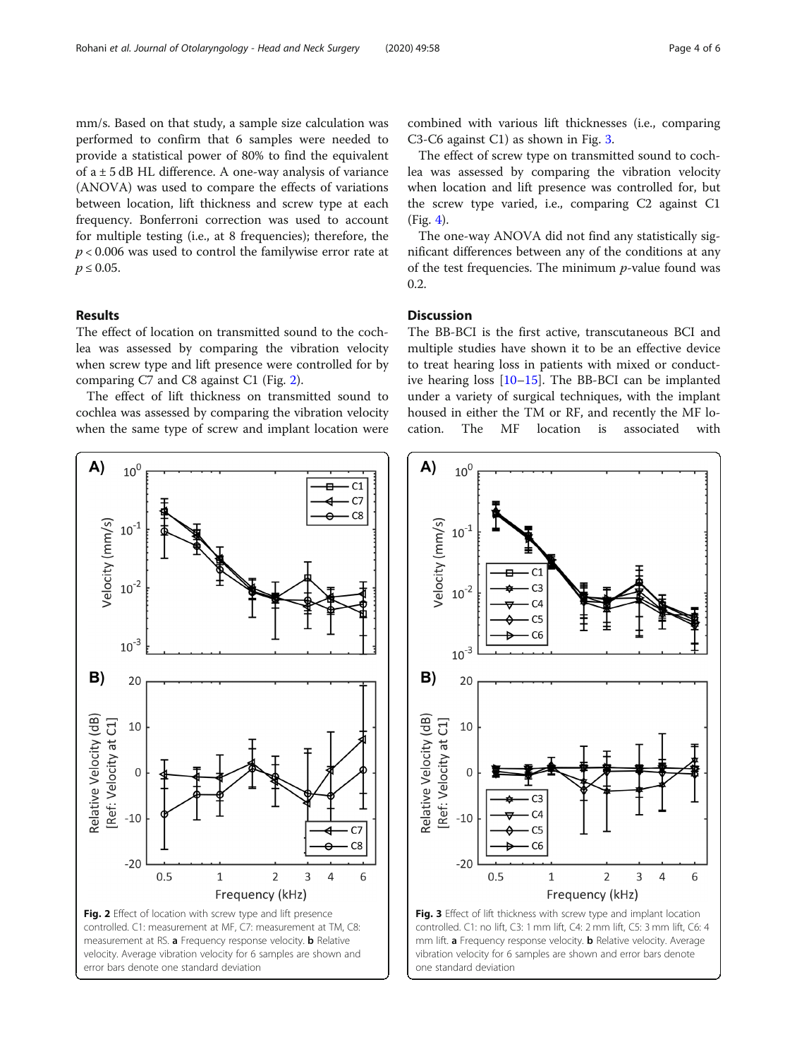mm/s. Based on that study, a sample size calculation was performed to confirm that 6 samples were needed to provide a statistical power of 80% to find the equivalent of  $a \pm 5$  dB HL difference. A one-way analysis of variance (ANOVA) was used to compare the effects of variations between location, lift thickness and screw type at each frequency. Bonferroni correction was used to account for multiple testing (i.e., at 8 frequencies); therefore, the  $p < 0.006$  was used to control the familywise error rate at  $p \le 0.05$ .

# Results

The effect of location on transmitted sound to the cochlea was assessed by comparing the vibration velocity when screw type and lift presence were controlled for by comparing C7 and C8 against C1 (Fig. 2).

The effect of lift thickness on transmitted sound to cochlea was assessed by comparing the vibration velocity when the same type of screw and implant location were

combined with various lift thicknesses (i.e., comparing C3-C6 against C1) as shown in Fig. 3.

The effect of screw type on transmitted sound to cochlea was assessed by comparing the vibration velocity when location and lift presence was controlled for, but the screw type varied, i.e., comparing C2 against C1 (Fig. [4](#page-4-0)).

The one-way ANOVA did not find any statistically significant differences between any of the conditions at any of the test frequencies. The minimum  $p$ -value found was 0.2.

# Discussion

The BB-BCI is the first active, transcutaneous BCI and multiple studies have shown it to be an effective device to treat hearing loss in patients with mixed or conductive hearing loss [\[10](#page-5-0)–[15](#page-5-0)]. The BB-BCI can be implanted under a variety of surgical techniques, with the implant housed in either the TM or RF, and recently the MF location. The MF location is associated with





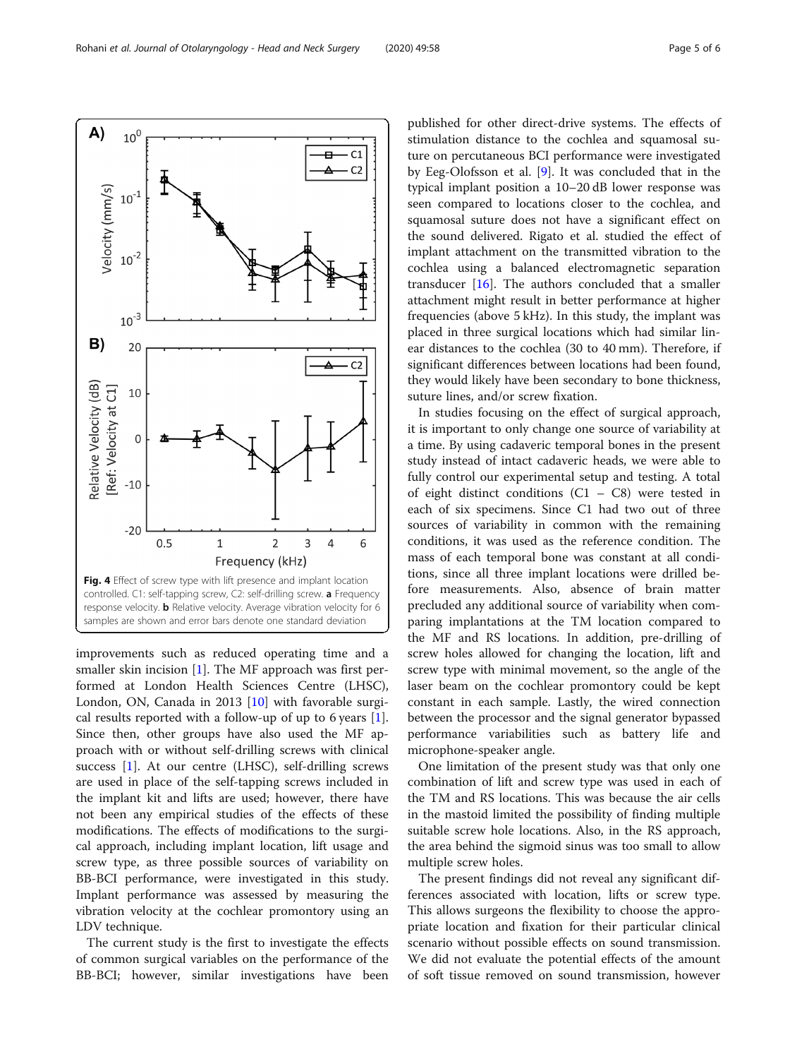improvements such as reduced operating time and a smaller skin incision [[1\]](#page-5-0). The MF approach was first performed at London Health Sciences Centre (LHSC),

London, ON, Canada in 2013 [[10\]](#page-5-0) with favorable surgical results reported with a follow-up of up to 6 years [\[1](#page-5-0)]. Since then, other groups have also used the MF approach with or without self-drilling screws with clinical success [[1\]](#page-5-0). At our centre (LHSC), self-drilling screws are used in place of the self-tapping screws included in the implant kit and lifts are used; however, there have not been any empirical studies of the effects of these modifications. The effects of modifications to the surgical approach, including implant location, lift usage and screw type, as three possible sources of variability on BB-BCI performance, were investigated in this study. Implant performance was assessed by measuring the vibration velocity at the cochlear promontory using an LDV technique.

The current study is the first to investigate the effects of common surgical variables on the performance of the BB-BCI; however, similar investigations have been published for other direct-drive systems. The effects of stimulation distance to the cochlea and squamosal suture on percutaneous BCI performance were investigated by Eeg-Olofsson et al. [\[9](#page-5-0)]. It was concluded that in the typical implant position a 10–20 dB lower response was seen compared to locations closer to the cochlea, and squamosal suture does not have a significant effect on the sound delivered. Rigato et al. studied the effect of implant attachment on the transmitted vibration to the cochlea using a balanced electromagnetic separation transducer  $[16]$ . The authors concluded that a smaller attachment might result in better performance at higher frequencies (above 5 kHz). In this study, the implant was placed in three surgical locations which had similar linear distances to the cochlea (30 to 40 mm). Therefore, if significant differences between locations had been found, they would likely have been secondary to bone thickness, suture lines, and/or screw fixation.

In studies focusing on the effect of surgical approach, it is important to only change one source of variability at a time. By using cadaveric temporal bones in the present study instead of intact cadaveric heads, we were able to fully control our experimental setup and testing. A total of eight distinct conditions  $(C1 - C8)$  were tested in each of six specimens. Since C1 had two out of three sources of variability in common with the remaining conditions, it was used as the reference condition. The mass of each temporal bone was constant at all conditions, since all three implant locations were drilled before measurements. Also, absence of brain matter precluded any additional source of variability when comparing implantations at the TM location compared to the MF and RS locations. In addition, pre-drilling of screw holes allowed for changing the location, lift and screw type with minimal movement, so the angle of the laser beam on the cochlear promontory could be kept constant in each sample. Lastly, the wired connection between the processor and the signal generator bypassed performance variabilities such as battery life and microphone-speaker angle.

One limitation of the present study was that only one combination of lift and screw type was used in each of the TM and RS locations. This was because the air cells in the mastoid limited the possibility of finding multiple suitable screw hole locations. Also, in the RS approach, the area behind the sigmoid sinus was too small to allow multiple screw holes.

The present findings did not reveal any significant differences associated with location, lifts or screw type. This allows surgeons the flexibility to choose the appropriate location and fixation for their particular clinical scenario without possible effects on sound transmission. We did not evaluate the potential effects of the amount of soft tissue removed on sound transmission, however

<span id="page-4-0"></span>